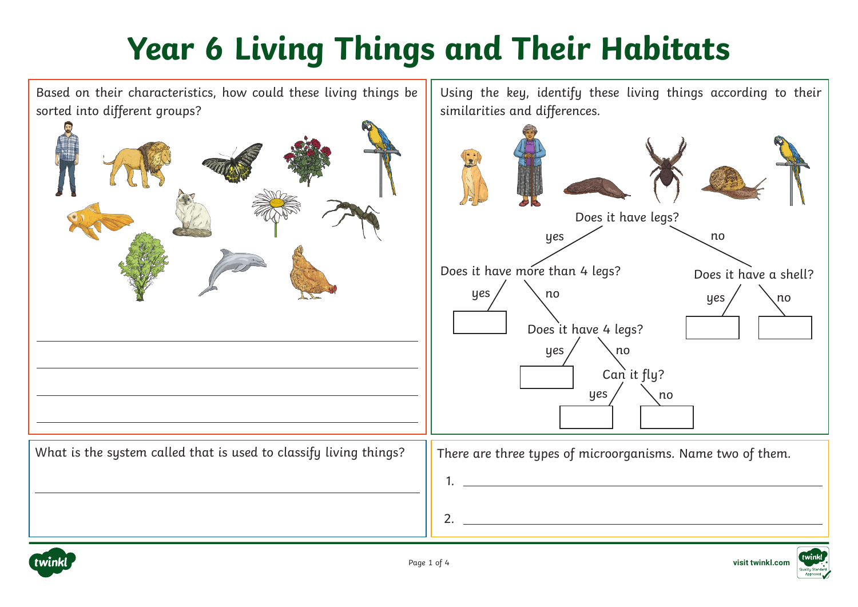

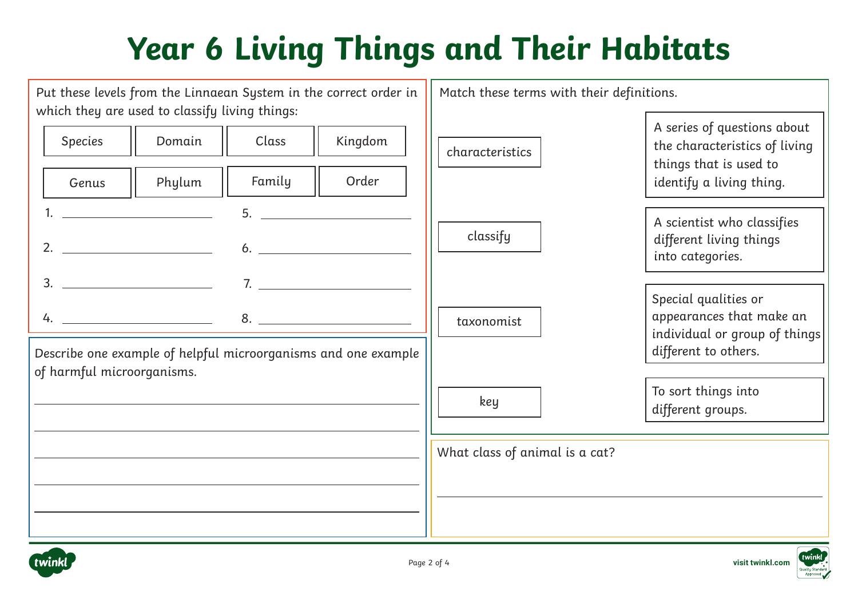| Put these levels from the Linnaean System in the correct order in<br>which they are used to classify living things: |                 | Match these terms with their definitions. |                                |                                                                                                                    |
|---------------------------------------------------------------------------------------------------------------------|-----------------|-------------------------------------------|--------------------------------|--------------------------------------------------------------------------------------------------------------------|
| <b>Species</b><br>Domain<br>Phylum<br>Genus                                                                         | Class<br>Family | Kingdom<br>Order                          | characteristics                | A series of questions about<br>the characteristics of living<br>things that is used to<br>identify a living thing. |
| <u> 1980 - Andrea Station, amerikan ba</u><br>2.                                                                    | 5.<br>6.        |                                           | classify                       | A scientist who classifies<br>different living things<br>into categories.                                          |
| $3.$ $7.$<br>$4.$ $\overline{\phantom{a}}$<br>Describe one example of helpful microorganisms and one example        | 8.              |                                           | taxonomist                     | Special qualities or<br>appearances that make an<br>individual or group of things<br>different to others.          |
| of harmful microorganisms.                                                                                          |                 |                                           | key                            | To sort things into<br>different groups.                                                                           |
|                                                                                                                     |                 |                                           | What class of animal is a cat? |                                                                                                                    |
|                                                                                                                     |                 |                                           |                                |                                                                                                                    |

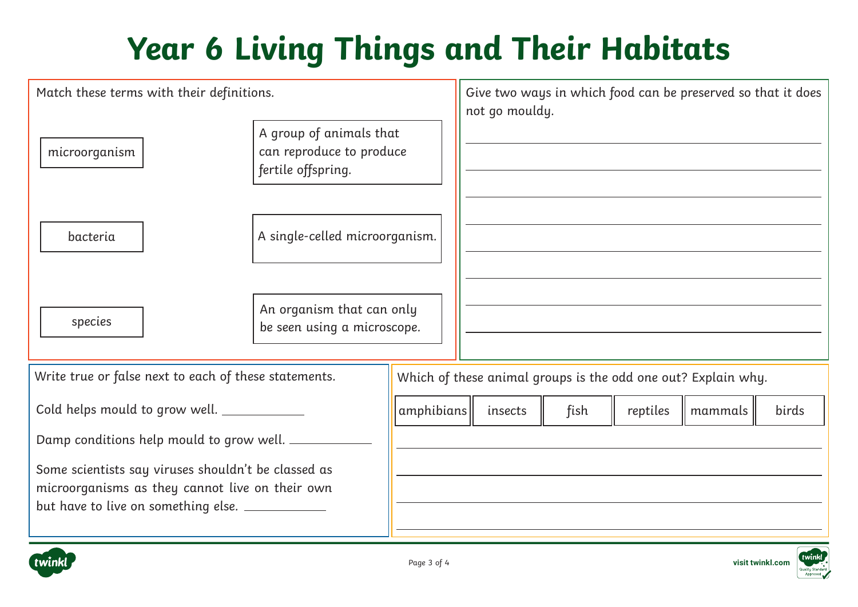| Match these terms with their definitions.                                                                                                                  |                                                                           |            | Give two ways in which food can be preserved so that it does<br>not go mouldy. |      |          |         |       |
|------------------------------------------------------------------------------------------------------------------------------------------------------------|---------------------------------------------------------------------------|------------|--------------------------------------------------------------------------------|------|----------|---------|-------|
| microorganism                                                                                                                                              | A group of animals that<br>can reproduce to produce<br>fertile offspring. |            |                                                                                |      |          |         |       |
| bacteria                                                                                                                                                   | A single-celled microorganism.                                            |            |                                                                                |      |          |         |       |
| species                                                                                                                                                    | An organism that can only<br>be seen using a microscope.                  |            |                                                                                |      |          |         |       |
| Write true or false next to each of these statements.                                                                                                      |                                                                           |            | Which of these animal groups is the odd one out? Explain why.                  |      |          |         |       |
| Cold helps mould to grow well. __________                                                                                                                  |                                                                           | amphibians | insects                                                                        | fish | reptiles | mammals | birds |
| Damp conditions help mould to grow well.                                                                                                                   |                                                                           |            |                                                                                |      |          |         |       |
| Some scientists say viruses shouldn't be classed as<br>microorganisms as they cannot live on their own<br>but have to live on something else. ____________ |                                                                           |            |                                                                                |      |          |         |       |





twinl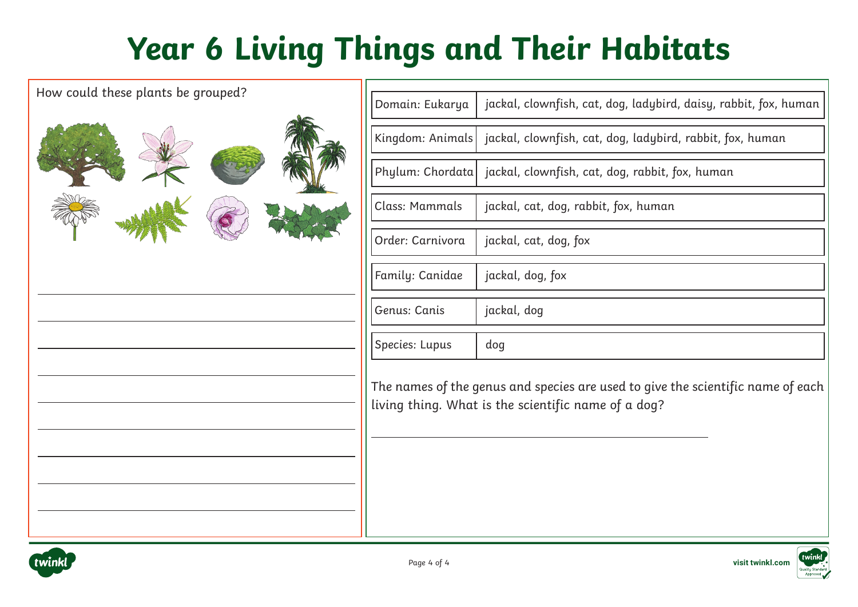| How could these plants be grouped? |                  |                                                                                                                                        |
|------------------------------------|------------------|----------------------------------------------------------------------------------------------------------------------------------------|
|                                    | Domain: Eukarya  | jackal, clownfish, cat, dog, ladybird, daisy, rabbit, fox, human                                                                       |
|                                    | Kingdom: Animals | jackal, clownfish, cat, dog, ladybird, rabbit, fox, human                                                                              |
|                                    | Phylum: Chordata | jackal, clownfish, cat, dog, rabbit, fox, human                                                                                        |
|                                    | Class: Mammals   | jackal, cat, dog, rabbit, fox, human                                                                                                   |
|                                    | Order: Carnivora | jackal, cat, dog, fox                                                                                                                  |
|                                    | Family: Canidae  | jackal, dog, fox                                                                                                                       |
|                                    | Genus: Canis     | jackal, dog                                                                                                                            |
|                                    | Species: Lupus   | dog                                                                                                                                    |
|                                    |                  | The names of the genus and species are used to give the scientific name of each<br>living thing. What is the scientific name of a dog? |
|                                    |                  |                                                                                                                                        |

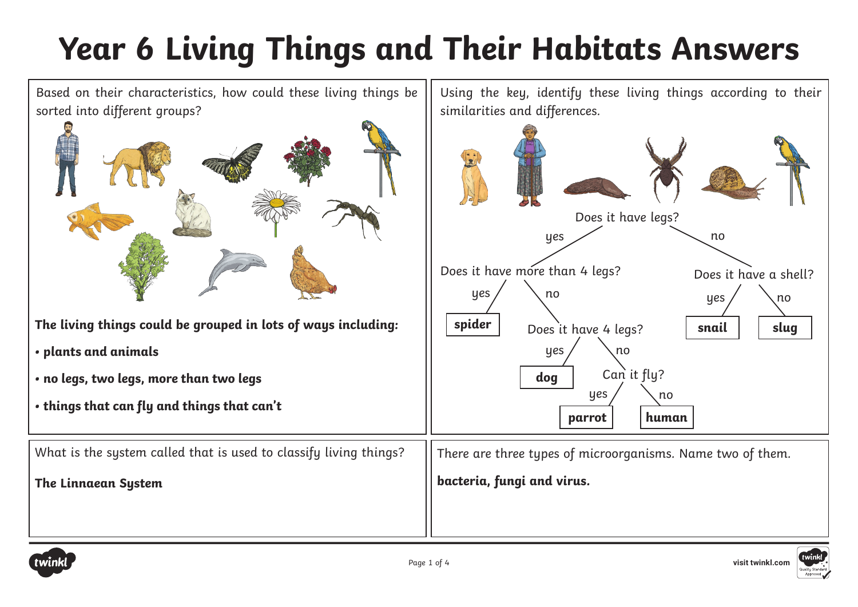

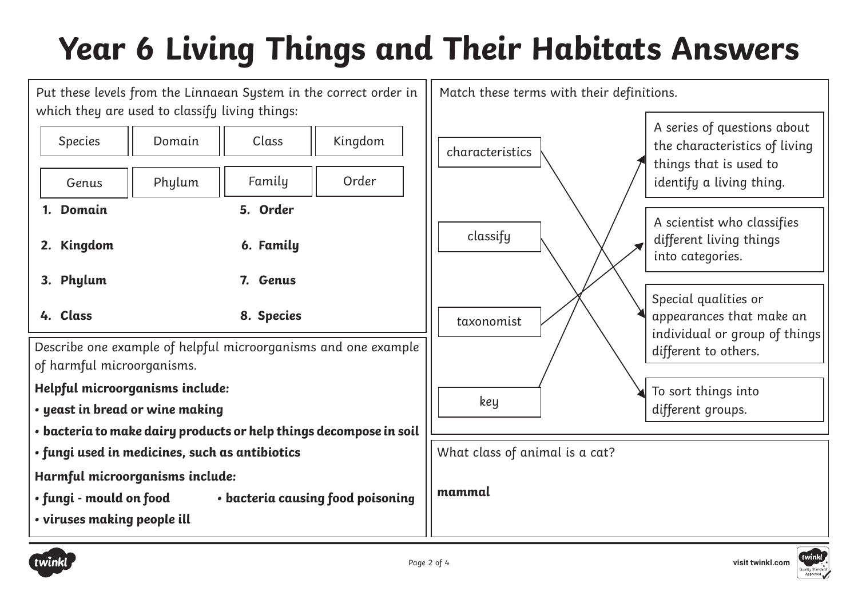

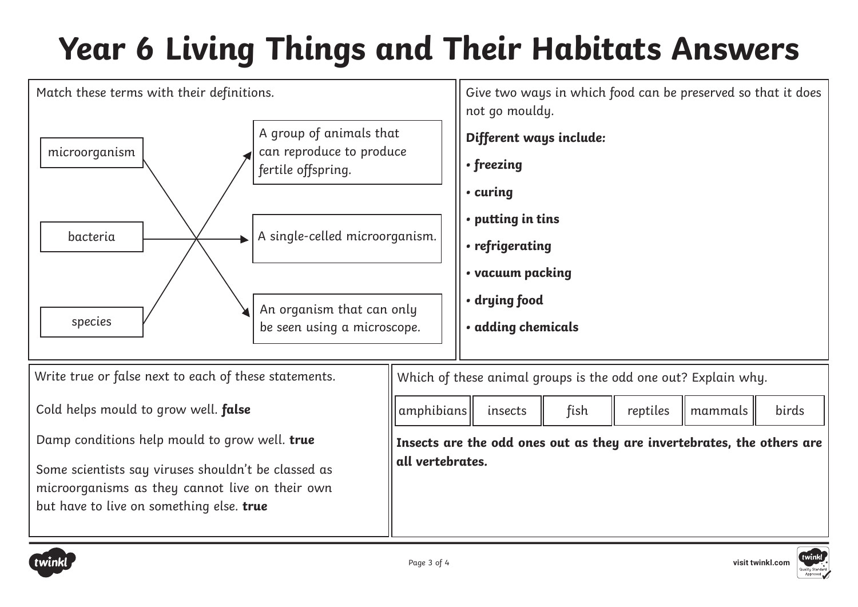



microorganisms as they cannot live on their own

but have to live on something else. **true**

twink